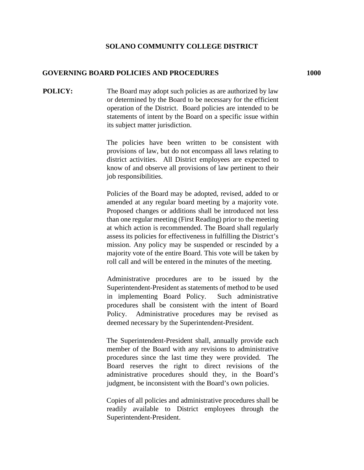## **SOLANO COMMUNITY COLLEGE DISTRICT**

## **GOVERNING BOARD POLICIES AND PROCEDURES****1000**

**POLICY:** The Board may adopt such policies as are authorized by law or determined by the Board to be necessary for the efficient operation of the District. Board policies are intended to be statements of intent by the Board on a specific issue within its subject matter jurisdiction.

> The policies have been written to be consistent with provisions of law, but do not encompass all laws relating to district activities. All District employees are expected to know of and observe all provisions of law pertinent to their job responsibilities.

> Policies of the Board may be adopted, revised, added to or amended at any regular board meeting by a majority vote. Proposed changes or additions shall be introduced not less than one regular meeting (First Reading) prior to the meeting at which action is recommended. The Board shall regularly assess its policies for effectiveness in fulfilling the District's mission. Any policy may be suspended or rescinded by a majority vote of the entire Board. This vote will be taken by roll call and will be entered in the minutes of the meeting.

> Administrative procedures are to be issued by the Superintendent-President as statements of method to be used in implementing Board Policy. Such administrative procedures shall be consistent with the intent of Board Policy. Administrative procedures may be revised as deemed necessary by the Superintendent-President.

> The Superintendent-President shall, annually provide each member of the Board with any revisions to administrative procedures since the last time they were provided. The Board reserves the right to direct revisions of the administrative procedures should they, in the Board's judgment, be inconsistent with the Board's own policies.

> Copies of all policies and administrative procedures shall be readily available to District employees through the Superintendent-President.